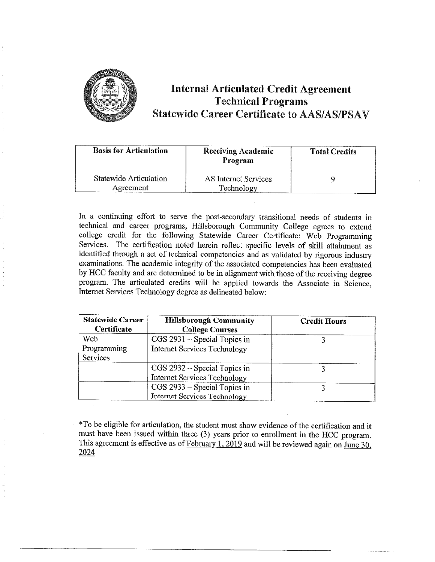

## **Internal Articulated Credit Agreement Technical Programs Statewide Career Certificate to AAS/AS/PSAV**

| <b>Basis for Articulation</b>       | <b>Receiving Academic</b><br>Program | <b>Total Credits</b> |
|-------------------------------------|--------------------------------------|----------------------|
| Statewide Articulation<br>Agreement | AS Internet Services<br>Technology   |                      |

In a continuing effort to serve the post-secondary transitional needs of students in technical and career programs, Hillsborough Community College agrees to extend college credit for the following Statewide Career Certificate: Web Programming Services. The certification noted herein reflect specific levels of skill attainment as identified through a set of technical competencies and as validated by rigorous industry exanlinations. The academic integrity of the associated competencies has been evaluated by HCC faculty and are determined to be in alignment with those of the receiving degree program. The articulated credits will be applied towards the Associate in Science, Internet Services Technology degree as delineated below:

| <b>Statewide Career</b><br>Certificate | <b>Hillsborough Community</b><br><b>College Courses</b> | <b>Credit Hours</b> |
|----------------------------------------|---------------------------------------------------------|---------------------|
| <b>Web</b>                             | CGS 2931 – Special Topics in                            |                     |
| Programming                            | <b>Internet Services Technology</b>                     |                     |
| <b>Services</b>                        |                                                         |                     |
|                                        | CGS 2932 – Special Topics in                            |                     |
|                                        | <b>Internet Services Technology</b>                     |                     |
|                                        | CGS 2933 – Special Topics in                            |                     |
|                                        | <b>Internet Services Technology</b>                     |                     |

\*To be eligible for articulation, the student must show evidence of the certification and it must have been issued within three (3) years prior to emollment in the HCC program. This agreement is effective as of  $February 1, 2019$  and will be reviewed again on June 30, 2024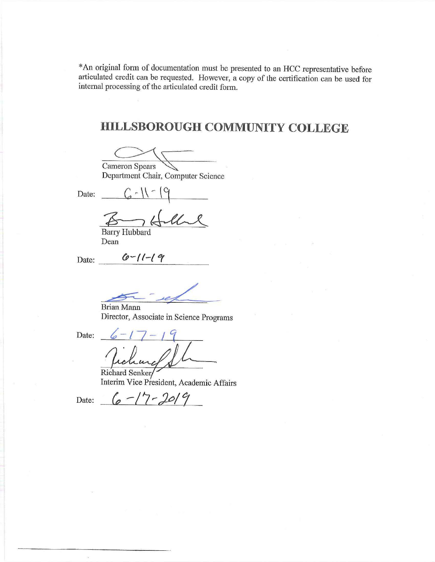\*An original form of documentation must be presented to an HCC representative before articulated credit can be requested. However, a copy of the certification can be used for internal processing of the articulated credit form.

# **HILLSBOROUGH COMMUNITY COLLEGE**

 $O\left(\frac{1}{\sqrt{2}}\right)$ 

Cameron Spears<br>Department Chair, Computer Science

Date:  $C \cdot \mathcal{N} \cdot \mathcal{S}$ 

6-11-19<br><del>Barry Hubbard</del>

Barry Hubbard Dean

Date: *(p-***f**I-{ **'o/** 

Brian Mann Director, Associate in Science Programs

Date:

 $\overline{a}$ 

Richard Senker/ Interim Vice President, Academic Affairs

Date:  $6 - 17 - 2019$